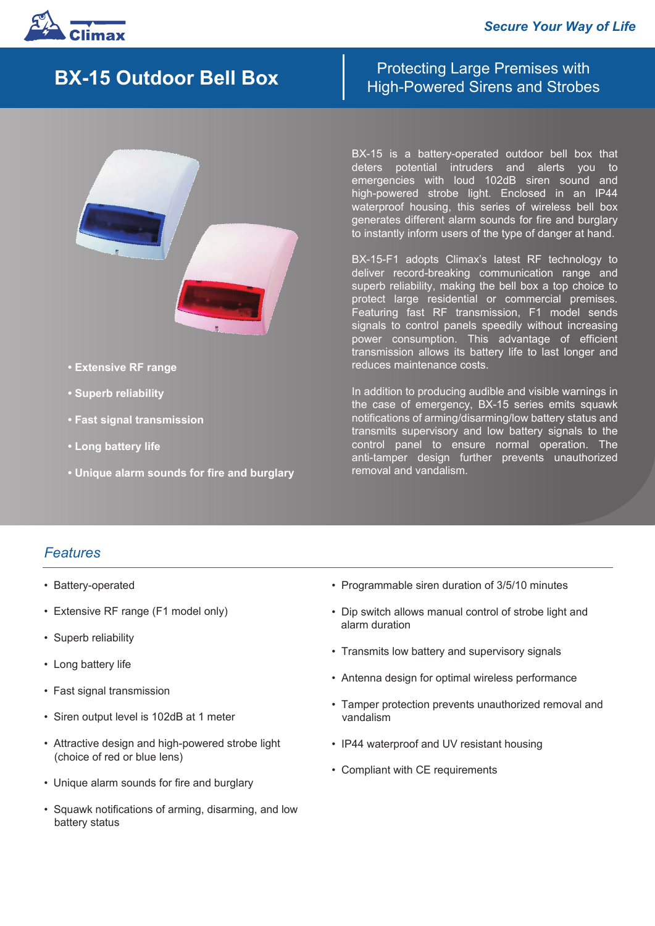



- **Extensive RF range** 
	- **Superb reliability**
	- **Fast signal transmission**
	- **Long battery life**
	- **Unique alarm sounds for fire and burglary**

Protecting Large Premises with **BX-15 Outdoor Bell Box Bigh-Powered Sirens and Strobes** 

> BX-15 is a battery-operated outdoor bell box that deters potential intruders and alerts you to emergencies with loud 102dB siren sound and high-powered strobe light. Enclosed in an IP44 waterproof housing, this series of wireless bell box generates different alarm sounds for fire and burglary to instantly inform users of the type of danger at hand.

> BX-15-F1 adopts Climax's latest RF technology to deliver record-breaking communication range and superb reliability, making the bell box a top choice to protect large residential or commercial premises. Featuring fast RF transmission, F1 model sends signals to control panels speedily without increasing power consumption. This advantage of efficient transmission allows its battery life to last longer and reduces maintenance costs.

> In addition to producing audible and visible warnings in the case of emergency, BX-15 series emits squawk notifications of arming/disarming/low battery status and transmits supervisory and low battery signals to the control panel to ensure normal operation. The anti-tamper design further prevents unauthorized removal and vandalism.

## *Features*

- Battery-operated
- Extensive RF range (F1 model only)
- Superb reliability
- Long battery life
- Fast signal transmission
- Siren output level is 102dB at 1 meter
- Attractive design and high-powered strobe light (choice of red or blue lens)
- Unique alarm sounds for fire and burglary
- Squawk notifications of arming, disarming, and low battery status
- Programmable siren duration of 3/5/10 minutes
- Dip switch allows manual control of strobe light and alarm duration
- Transmits low battery and supervisory signals
- Antenna design for optimal wireless performance
- Tamper protection prevents unauthorized removal and vandalism
- IP44 waterproof and UV resistant housing
- Compliant with CE requirements